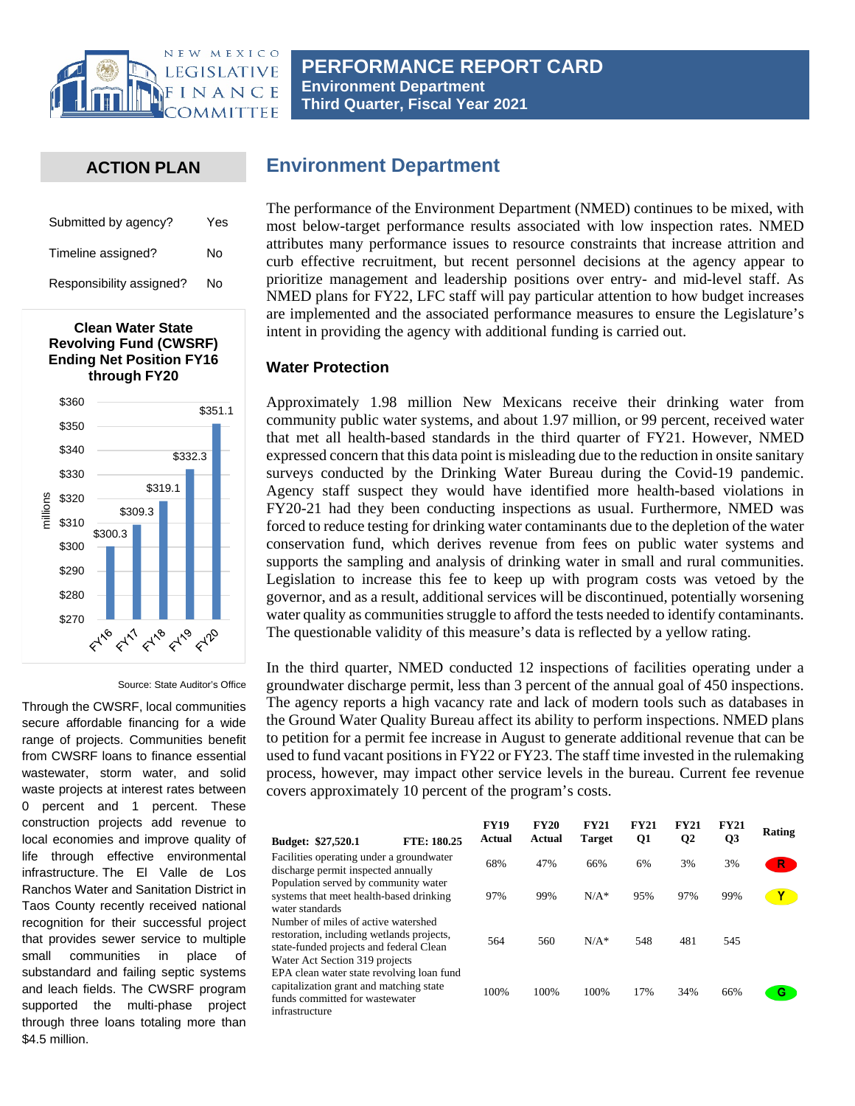

**PERFORMANCE REPORT CARD Environment Department Third Quarter, Fiscal Year 2021**

### **ACTION PLAN**

| Submitted by agency?     | Yes |  |  |
|--------------------------|-----|--|--|
| Timeline assigned?       | N٥  |  |  |
| Responsibility assigned? | N٥  |  |  |



#### Source: State Auditor's Office

Through the CWSRF, local communities secure affordable financing for a wide range of projects. Communities benefit from CWSRF loans to finance essential wastewater, storm water, and solid waste projects at interest rates between 0 percent and 1 percent. These construction projects add revenue to local economies and improve quality of life through effective environmental infrastructure. The El Valle de Los Ranchos Water and Sanitation District in Taos County recently received national recognition for their successful project that provides sewer service to multiple small communities in place of substandard and failing septic systems and leach fields. The CWSRF program supported the multi-phase project through three loans totaling more than \$4.5 million.

# **Environment Department**

The performance of the Environment Department (NMED) continues to be mixed, with most below-target performance results associated with low inspection rates. NMED attributes many performance issues to resource constraints that increase attrition and curb effective recruitment, but recent personnel decisions at the agency appear to prioritize management and leadership positions over entry- and mid-level staff. As NMED plans for FY22, LFC staff will pay particular attention to how budget increases are implemented and the associated performance measures to ensure the Legislature's intent in providing the agency with additional funding is carried out.

#### **Water Protection**

Approximately 1.98 million New Mexicans receive their drinking water from community public water systems, and about 1.97 million, or 99 percent, received water that met all health-based standards in the third quarter of FY21. However, NMED expressed concern that this data point is misleading due to the reduction in onsite sanitary surveys conducted by the Drinking Water Bureau during the Covid-19 pandemic. Agency staff suspect they would have identified more health-based violations in FY20-21 had they been conducting inspections as usual. Furthermore, NMED was forced to reduce testing for drinking water contaminants due to the depletion of the water conservation fund, which derives revenue from fees on public water systems and supports the sampling and analysis of drinking water in small and rural communities. Legislation to increase this fee to keep up with program costs was vetoed by the governor, and as a result, additional services will be discontinued, potentially worsening water quality as communities struggle to afford the tests needed to identify contaminants. The questionable validity of this measure's data is reflected by a yellow rating.

In the third quarter, NMED conducted 12 inspections of facilities operating under a groundwater discharge permit, less than 3 percent of the annual goal of 450 inspections. The agency reports a high vacancy rate and lack of modern tools such as databases in the Ground Water Quality Bureau affect its ability to perform inspections. NMED plans to petition for a permit fee increase in August to generate additional revenue that can be used to fund vacant positions in FY22 or FY23. The staff time invested in the rulemaking process, however, may impact other service levels in the bureau. Current fee revenue covers approximately 10 percent of the program's costs.

| Budget: \$27,520.1                                                                                                                                                         | FTE: 180.25 | <b>FY19</b><br>Actual | <b>FY20</b><br>Actual | <b>FY21</b><br><b>Target</b> | <b>FY21</b><br>Q1 | <b>FY21</b><br>Q2 | <b>FY21</b><br>Q3 | Rating       |
|----------------------------------------------------------------------------------------------------------------------------------------------------------------------------|-------------|-----------------------|-----------------------|------------------------------|-------------------|-------------------|-------------------|--------------|
| Facilities operating under a groundwater<br>discharge permit inspected annually                                                                                            |             | 68%                   | 47%                   | 66%                          | 6%                | 3%                | 3%                | $\mathsf{R}$ |
| Population served by community water<br>systems that meet health-based drinking<br>water standards                                                                         |             | 97%                   | 99%                   | $N/A^*$                      | 95%               | 97%               | 99%               | Y            |
| Number of miles of active watershed<br>restoration, including wetlands projects,<br>state-funded projects and federal Clean                                                |             | 564                   | 560                   | $N/A*$                       | 548               | 481               | 545               |              |
| Water Act Section 319 projects<br>EPA clean water state revolving loan fund<br>capitalization grant and matching state<br>funds committed for wastewater<br>infrastructure |             | 100%                  | 100%                  | 100%                         | 17%               | 34%               | 66%               | G            |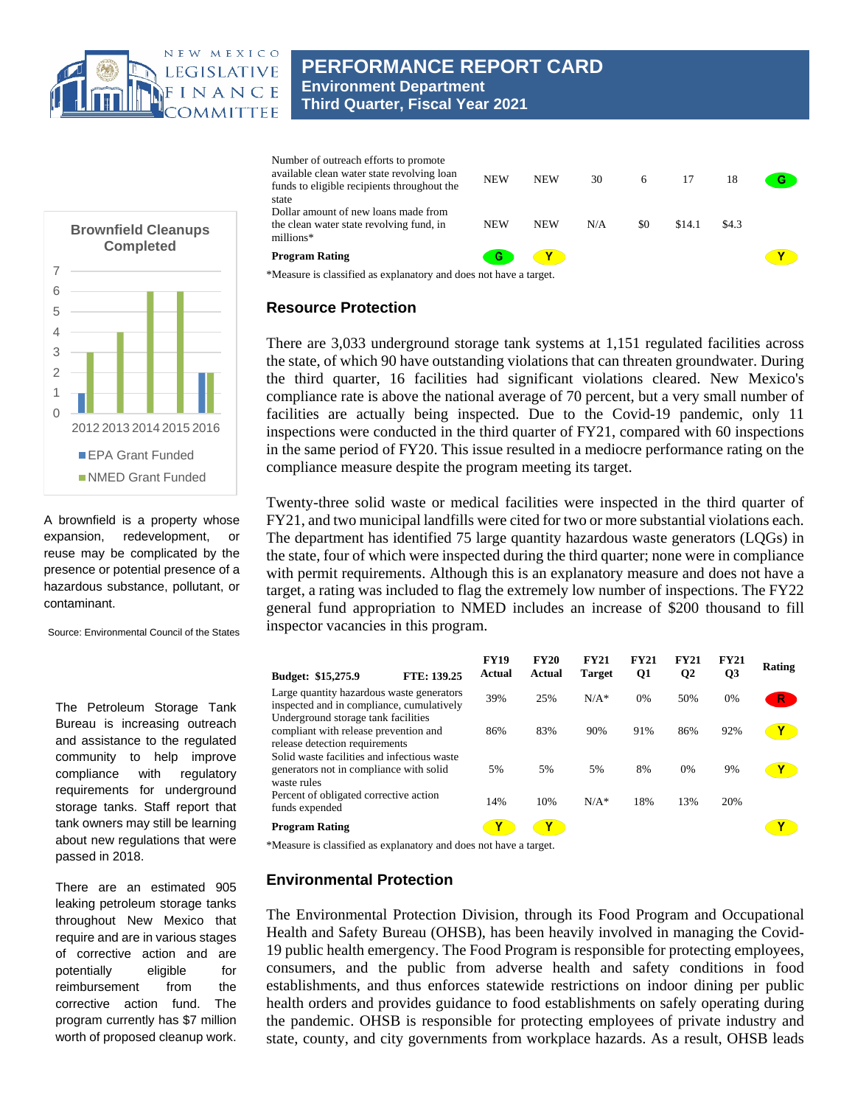

# **PERFORMANCE REPORT CARD Environment Department Third Quarter, Fiscal Year 2021**



### **Resource Protection**

There are 3,033 underground storage tank systems at 1,151 regulated facilities across the state, of which 90 have outstanding violations that can threaten groundwater. During the third quarter, 16 facilities had significant violations cleared. New Mexico's compliance rate is above the national average of 70 percent, but a very small number of facilities are actually being inspected. Due to the Covid-19 pandemic, only 11 inspections were conducted in the third quarter of FY21, compared with 60 inspections in the same period of FY20. This issue resulted in a mediocre performance rating on the compliance measure despite the program meeting its target.

Twenty-three solid waste or medical facilities were inspected in the third quarter of FY21, and two municipal landfills were cited for two or more substantial violations each. The department has identified 75 large quantity hazardous waste generators (LQGs) in the state, four of which were inspected during the third quarter; none were in compliance with permit requirements. Although this is an explanatory measure and does not have a target, a rating was included to flag the extremely low number of inspections. The FY22 general fund appropriation to NMED includes an increase of \$200 thousand to fill inspector vacancies in this program.

| Budget: \$15,275.9                                                                                             | FTE: 139.25 | <b>FY19</b><br>Actual | <b>FY20</b><br>Actual | <b>FY21</b><br><b>Target</b> | <b>FY21</b><br>Q1 | <b>FY21</b><br>$\mathbf{Q}$ | <b>FY21</b><br>Q <sub>3</sub> | Rating |
|----------------------------------------------------------------------------------------------------------------|-------------|-----------------------|-----------------------|------------------------------|-------------------|-----------------------------|-------------------------------|--------|
| Large quantity hazardous waste generators<br>inspected and in compliance, cumulatively                         |             | 39%                   | 25%                   | $N/A*$                       | $0\%$             | 50%                         | 0%                            | R.     |
| Underground storage tank facilities<br>compliant with release prevention and<br>release detection requirements |             | 86%                   | 83%                   | 90%                          | 91%               | 86%                         | 92%                           | Y      |
| Solid waste facilities and infectious waste<br>generators not in compliance with solid<br>waste rules          |             | 5%                    | 5%                    | 5%                           | 8%                | 0%                          | 9%                            |        |
| Percent of obligated corrective action<br>funds expended                                                       |             | 14%                   | 10%                   | $N/A*$                       | 18%               | 13%                         | 20%                           |        |
| <b>Program Rating</b>                                                                                          |             | Υ                     | Y                     |                              |                   |                             |                               | Υ      |

\*Measure is classified as explanatory and does not have a target.

#### **Environmental Protection**

The Environmental Protection Division, through its Food Program and Occupational Health and Safety Bureau (OHSB), has been heavily involved in managing the Covid-19 public health emergency. The Food Program is responsible for protecting employees, consumers, and the public from adverse health and safety conditions in food establishments, and thus enforces statewide restrictions on indoor dining per public health orders and provides guidance to food establishments on safely operating during the pandemic. OHSB is responsible for protecting employees of private industry and state, county, and city governments from workplace hazards. As a result, OHSB leads



A brownfield is a property whose expansion, redevelopment, or reuse may be complicated by the presence or potential presence of a hazardous substance, pollutant, or contaminant.

Source: Environmental Council of the States

The Petroleum Storage Tank Bureau is increasing outreach and assistance to the regulated community to help improve compliance with regulatory requirements for underground storage tanks. Staff report that tank owners may still be learning about new regulations that were passed in 2018.

There are an estimated 905 leaking petroleum storage tanks throughout New Mexico that require and are in various stages of corrective action and are potentially eligible for reimbursement from the corrective action fund. The program currently has \$7 million worth of proposed cleanup work.